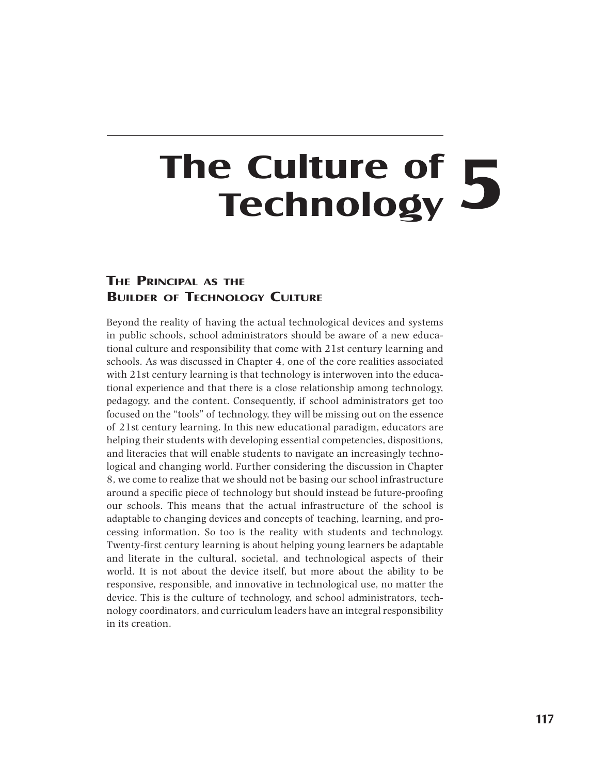### **5 The Culture of Technology**

#### **The Principal as the Builder of Technology Culture**

Beyond the reality of having the actual technological devices and systems in public schools, school administrators should be aware of a new educational culture and responsibility that come with 21st century learning and schools. As was discussed in Chapter 4, one of the core realities associated with 21st century learning is that technology is interwoven into the educational experience and that there is a close relationship among technology, pedagogy, and the content. Consequently, if school administrators get too focused on the "tools" of technology, they will be missing out on the essence of 21st century learning. In this new educational paradigm, educators are helping their students with developing essential competencies, dispositions, and literacies that will enable students to navigate an increasingly technological and changing world. Further considering the discussion in Chapter 8, we come to realize that we should not be basing our school infrastructure around a specific piece of technology but should instead be future-proofing our schools. This means that the actual infrastructure of the school is adaptable to changing devices and concepts of teaching, learning, and processing information. So too is the reality with students and technology. Twenty-first century learning is about helping young learners be adaptable and literate in the cultural, societal, and technological aspects of their world. It is not about the device itself, but more about the ability to be responsive, responsible, and innovative in technological use, no matter the device. This is the culture of technology, and school administrators, technology coordinators, and curriculum leaders have an integral responsibility in its creation.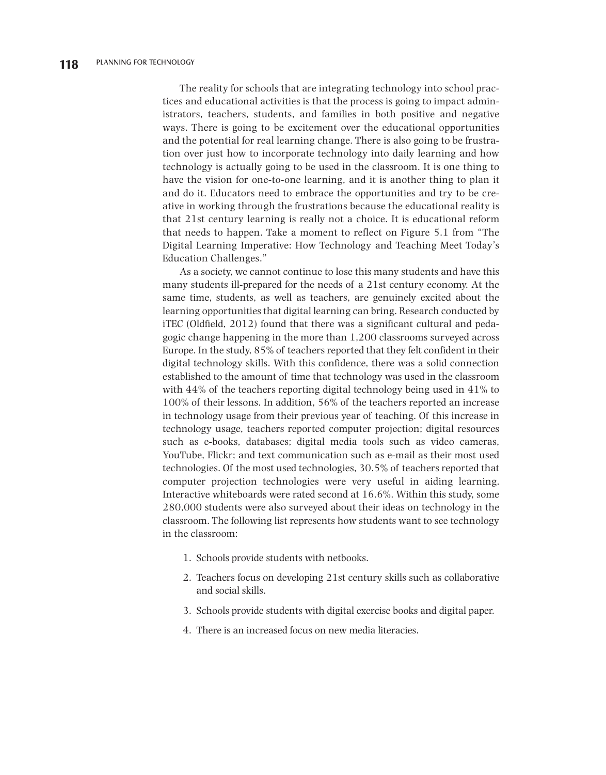The reality for schools that are integrating technology into school practices and educational activities is that the process is going to impact administrators, teachers, students, and families in both positive and negative ways. There is going to be excitement over the educational opportunities and the potential for real learning change. There is also going to be frustration over just how to incorporate technology into daily learning and how technology is actually going to be used in the classroom. It is one thing to have the vision for one-to-one learning, and it is another thing to plan it and do it. Educators need to embrace the opportunities and try to be creative in working through the frustrations because the educational reality is that 21st century learning is really not a choice. It is educational reform that needs to happen. Take a moment to reflect on Figure 5.1 from "The Digital Learning Imperative: How Technology and Teaching Meet Today's Education Challenges."

As a society, we cannot continue to lose this many students and have this many students ill-prepared for the needs of a 21st century economy. At the same time, students, as well as teachers, are genuinely excited about the learning opportunities that digital learning can bring. Research conducted by iTEC (Oldfield, 2012) found that there was a significant cultural and pedagogic change happening in the more than 1,200 classrooms surveyed across Europe. In the study, 85% of teachers reported that they felt confident in their digital technology skills. With this confidence, there was a solid connection established to the amount of time that technology was used in the classroom with 44% of the teachers reporting digital technology being used in 41% to 100% of their lessons. In addition, 56% of the teachers reported an increase in technology usage from their previous year of teaching. Of this increase in technology usage, teachers reported computer projection; digital resources such as e-books, databases; digital media tools such as video cameras, YouTube, Flickr; and text communication such as e-mail as their most used technologies. Of the most used technologies, 30.5% of teachers reported that computer projection technologies were very useful in aiding learning. Interactive whiteboards were rated second at 16.6%. Within this study, some 280,000 students were also surveyed about their ideas on technology in the classroom. The following list represents how students want to see technology in the classroom:

- 1. Schools provide students with netbooks.
- 2. Teachers focus on developing 21st century skills such as collaborative and social skills.
- 3. Schools provide students with digital exercise books and digital paper.
- 4. There is an increased focus on new media literacies.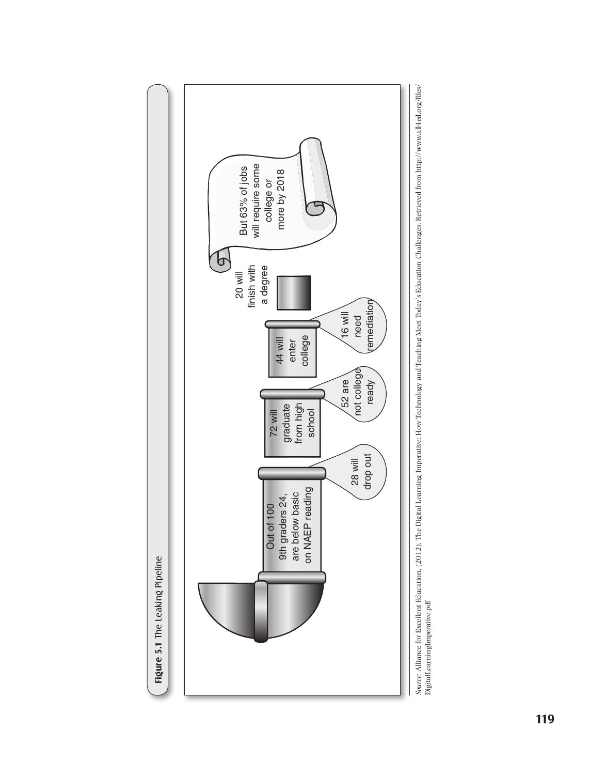

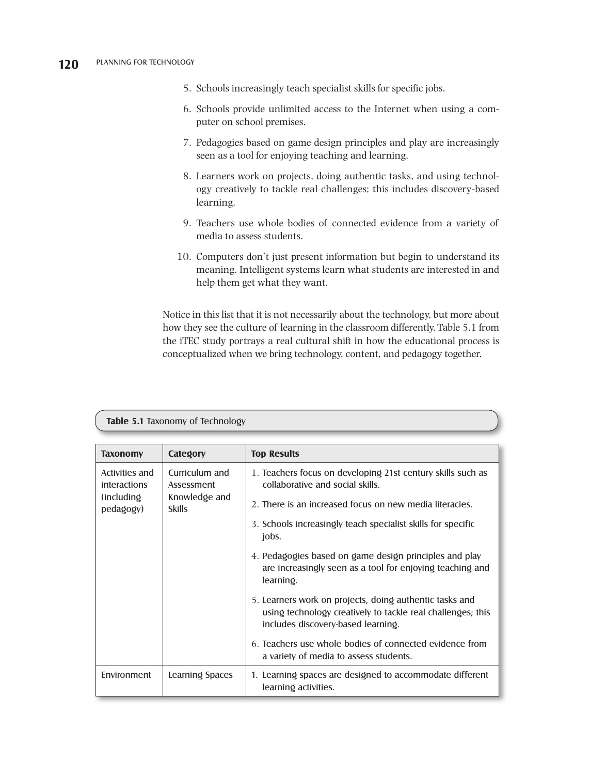- 5. Schools increasingly teach specialist skills for specific jobs.
- 6. Schools provide unlimited access to the Internet when using a computer on school premises.
- 7. Pedagogies based on game design principles and play are increasingly seen as a tool for enjoying teaching and learning.
- 8. Learners work on projects, doing authentic tasks, and using technology creatively to tackle real challenges; this includes discovery-based learning.
- 9. Teachers use whole bodies of connected evidence from a variety of media to assess students.
- 10. Computers don't just present information but begin to understand its meaning. Intelligent systems learn what students are interested in and help them get what they want.

Notice in this list that it is not necessarily about the technology, but more about how they see the culture of learning in the classroom differently. Table 5.1 from the iTEC study portrays a real cultural shift in how the educational process is conceptualized when we bring technology, content, and pedagogy together.

|  |  | Table 5.1 Taxonomy of Technology |
|--|--|----------------------------------|
|--|--|----------------------------------|

| <b>Taxonomy</b>                                     | Category                                                       | <b>Top Results</b>                                                                                                                                           |
|-----------------------------------------------------|----------------------------------------------------------------|--------------------------------------------------------------------------------------------------------------------------------------------------------------|
| Activities and<br><b>interactions</b><br>(including | Curriculum and<br>Assessment<br>Knowledge and<br><b>Skills</b> | 1. Teachers focus on developing 21st century skills such as<br>collaborative and social skills.<br>2. There is an increased focus on new media literacies.   |
| pedagogy)                                           |                                                                | 3. Schools increasingly teach specialist skills for specific<br>jobs.                                                                                        |
|                                                     |                                                                | 4. Pedagogies based on game design principles and play<br>are increasingly seen as a tool for enjoying teaching and<br>learning.                             |
|                                                     |                                                                | 5. Learners work on projects, doing authentic tasks and<br>using technology creatively to tackle real challenges; this<br>includes discovery-based learning. |
|                                                     |                                                                | 6. Teachers use whole bodies of connected evidence from<br>a variety of media to assess students.                                                            |
| Environment                                         | Learning Spaces                                                | 1. Learning spaces are designed to accommodate different<br>learning activities.                                                                             |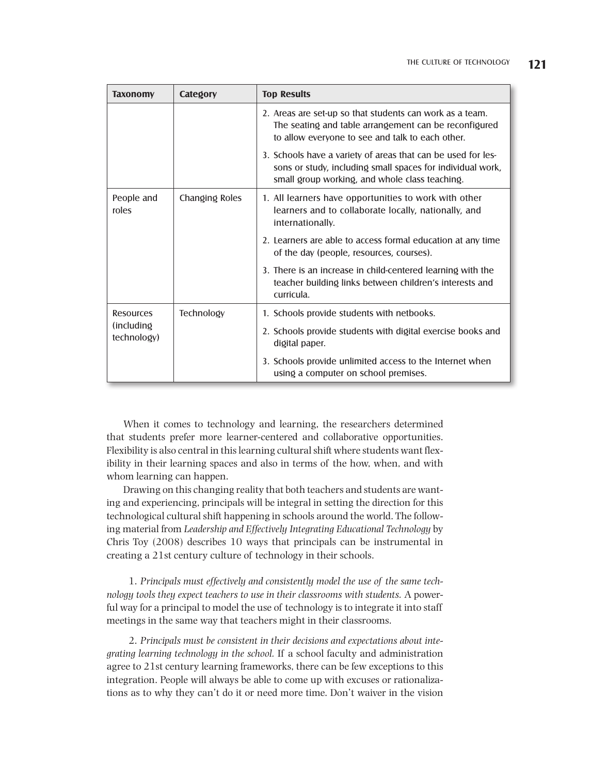| <b>Taxonomy</b>            | Category       | <b>Top Results</b>                                                                                                                                                           |  |
|----------------------------|----------------|------------------------------------------------------------------------------------------------------------------------------------------------------------------------------|--|
|                            |                | 2. Areas are set-up so that students can work as a team.<br>The seating and table arrangement can be reconfigured<br>to allow everyone to see and talk to each other.        |  |
|                            |                | 3. Schools have a variety of areas that can be used for les-<br>sons or study, including small spaces for individual work,<br>small group working, and whole class teaching. |  |
| People and<br>roles        | Changing Roles | 1. All learners have opportunities to work with other<br>learners and to collaborate locally, nationally, and<br>internationally.                                            |  |
|                            |                | 2. Learners are able to access formal education at any time<br>of the day (people, resources, courses).                                                                      |  |
|                            |                | 3. There is an increase in child-centered learning with the<br>teacher building links between children's interests and<br>curricula.                                         |  |
| <b>Resources</b>           | Technology     | 1. Schools provide students with netbooks.                                                                                                                                   |  |
| (including)<br>technology) |                | 2. Schools provide students with digital exercise books and<br>digital paper.                                                                                                |  |
|                            |                | 3. Schools provide unlimited access to the Internet when<br>using a computer on school premises.                                                                             |  |

When it comes to technology and learning, the researchers determined that students prefer more learner-centered and collaborative opportunities. Flexibility is also central in this learning cultural shift where students want flexibility in their learning spaces and also in terms of the how, when, and with whom learning can happen.

Drawing on this changing reality that both teachers and students are wanting and experiencing, principals will be integral in setting the direction for this technological cultural shift happening in schools around the world. The following material from *Leadership and Effectively Integrating Educational Technology* by Chris Toy (2008) describes 10 ways that principals can be instrumental in creating a 21st century culture of technology in their schools.

1. *Principals must effectively and consistently model the use of the same technology tools they expect teachers to use in their classrooms with students.* A powerful way for a principal to model the use of technology is to integrate it into staff meetings in the same way that teachers might in their classrooms.

2. *Principals must be consistent in their decisions and expectations about integrating learning technology in the school.* If a school faculty and administration agree to 21st century learning frameworks, there can be few exceptions to this integration. People will always be able to come up with excuses or rationalizations as to why they can't do it or need more time. Don't waiver in the vision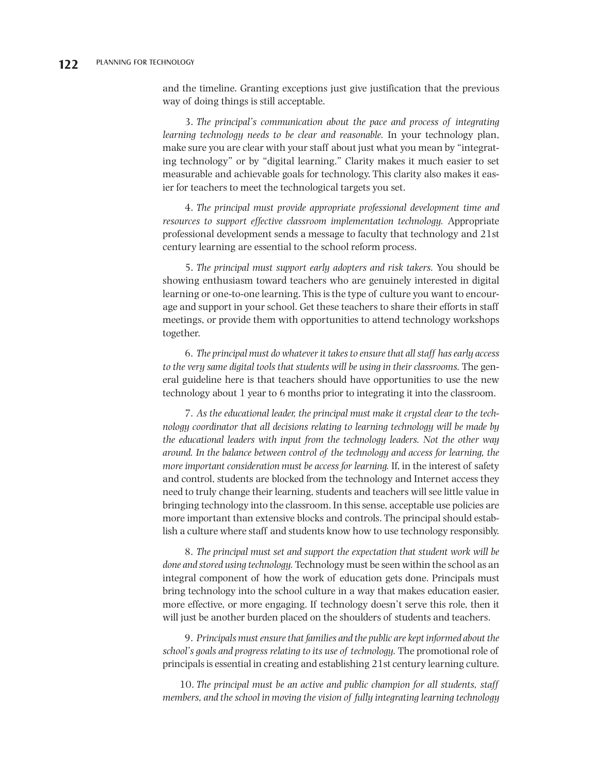and the timeline. Granting exceptions just give justification that the previous way of doing things is still acceptable.

3. *The principal's communication about the pace and process of integrating learning technology needs to be clear and reasonable.* In your technology plan, make sure you are clear with your staff about just what you mean by "integrating technology" or by "digital learning." Clarity makes it much easier to set measurable and achievable goals for technology. This clarity also makes it easier for teachers to meet the technological targets you set.

4. *The principal must provide appropriate professional development time and resources to support effective classroom implementation technology.* Appropriate professional development sends a message to faculty that technology and 21st century learning are essential to the school reform process.

5. *The principal must support early adopters and risk takers.* You should be showing enthusiasm toward teachers who are genuinely interested in digital learning or one-to-one learning. This is the type of culture you want to encourage and support in your school. Get these teachers to share their efforts in staff meetings, or provide them with opportunities to attend technology workshops together.

6. *The principal must do whatever it takes to ensure that all staff has early access to the very same digital tools that students will be using in their classrooms.* The general guideline here is that teachers should have opportunities to use the new technology about 1 year to 6 months prior to integrating it into the classroom.

7. *As the educational leader, the principal must make it crystal clear to the technology coordinator that all decisions relating to learning technology will be made by the educational leaders with input from the technology leaders. Not the other way around. In the balance between control of the technology and access for learning, the more important consideration must be access for learning.* If, in the interest of safety and control, students are blocked from the technology and Internet access they need to truly change their learning, students and teachers will see little value in bringing technology into the classroom. In this sense, acceptable use policies are more important than extensive blocks and controls. The principal should establish a culture where staff and students know how to use technology responsibly.

8. *The principal must set and support the expectation that student work will be done and stored using technology.* Technology must be seen within the school as an integral component of how the work of education gets done. Principals must bring technology into the school culture in a way that makes education easier, more effective, or more engaging. If technology doesn't serve this role, then it will just be another burden placed on the shoulders of students and teachers.

9. *Principals must ensure that families and the public are kept informed about the school's goals and progress relating to its use of technology.* The promotional role of principals is essential in creating and establishing 21st century learning culture.

10. *The principal must be an active and public champion for all students, staff members, and the school in moving the vision of fully integrating learning technology*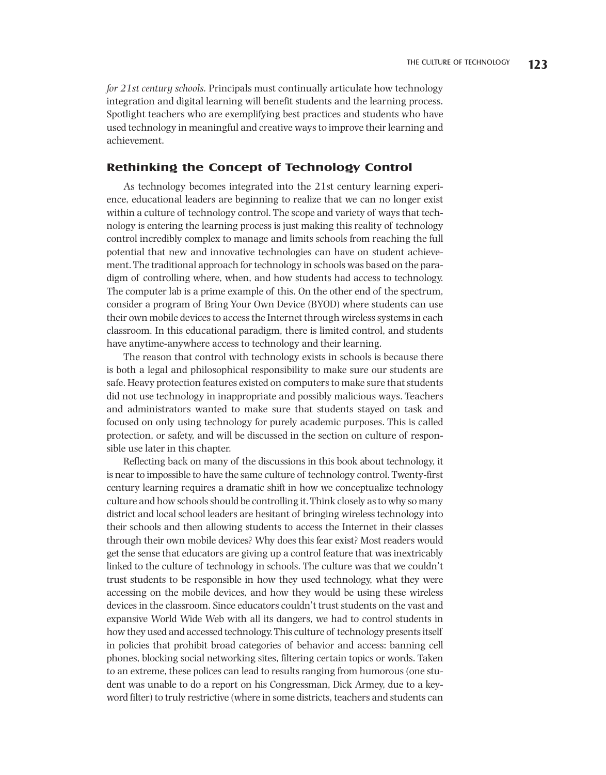*for 21st century schools.* Principals must continually articulate how technology integration and digital learning will benefit students and the learning process. Spotlight teachers who are exemplifying best practices and students who have used technology in meaningful and creative ways to improve their learning and achievement.

#### **Rethinking the Concept of Technology Control**

As technology becomes integrated into the 21st century learning experience, educational leaders are beginning to realize that we can no longer exist within a culture of technology control. The scope and variety of ways that technology is entering the learning process is just making this reality of technology control incredibly complex to manage and limits schools from reaching the full potential that new and innovative technologies can have on student achievement. The traditional approach for technology in schools was based on the paradigm of controlling where, when, and how students had access to technology. The computer lab is a prime example of this. On the other end of the spectrum, consider a program of Bring Your Own Device (BYOD) where students can use their own mobile devices to access the Internet through wireless systems in each classroom. In this educational paradigm, there is limited control, and students have anytime-anywhere access to technology and their learning.

The reason that control with technology exists in schools is because there is both a legal and philosophical responsibility to make sure our students are safe. Heavy protection features existed on computers to make sure that students did not use technology in inappropriate and possibly malicious ways. Teachers and administrators wanted to make sure that students stayed on task and focused on only using technology for purely academic purposes. This is called protection, or safety, and will be discussed in the section on culture of responsible use later in this chapter.

Reflecting back on many of the discussions in this book about technology, it is near to impossible to have the same culture of technology control. Twenty-first century learning requires a dramatic shift in how we conceptualize technology culture and how schools should be controlling it. Think closely as to why so many district and local school leaders are hesitant of bringing wireless technology into their schools and then allowing students to access the Internet in their classes through their own mobile devices? Why does this fear exist? Most readers would get the sense that educators are giving up a control feature that was inextricably linked to the culture of technology in schools. The culture was that we couldn't trust students to be responsible in how they used technology, what they were accessing on the mobile devices, and how they would be using these wireless devices in the classroom. Since educators couldn't trust students on the vast and expansive World Wide Web with all its dangers, we had to control students in how they used and accessed technology. This culture of technology presents itself in policies that prohibit broad categories of behavior and access: banning cell phones, blocking social networking sites, filtering certain topics or words. Taken to an extreme, these polices can lead to results ranging from humorous (one student was unable to do a report on his Congressman, Dick Armey, due to a keyword filter) to truly restrictive (where in some districts, teachers and students can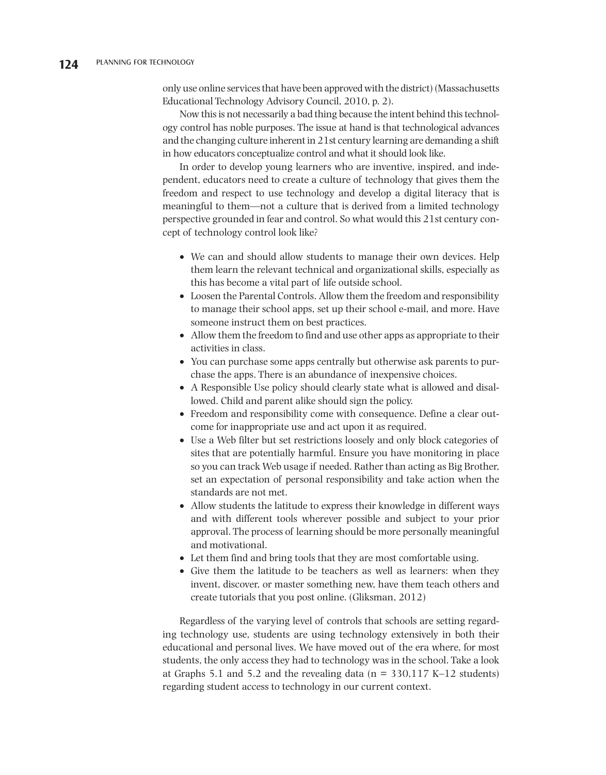only use online services that have been approved with the district) (Massachusetts Educational Technology Advisory Council, 2010, p. 2).

Now this is not necessarily a bad thing because the intent behind this technology control has noble purposes. The issue at hand is that technological advances and the changing culture inherent in 21st century learning are demanding a shift in how educators conceptualize control and what it should look like.

In order to develop young learners who are inventive, inspired, and independent, educators need to create a culture of technology that gives them the freedom and respect to use technology and develop a digital literacy that is meaningful to them—not a culture that is derived from a limited technology perspective grounded in fear and control. So what would this 21st century concept of technology control look like?

- We can and should allow students to manage their own devices. Help them learn the relevant technical and organizational skills, especially as this has become a vital part of life outside school.
- Loosen the Parental Controls. Allow them the freedom and responsibility to manage their school apps, set up their school e-mail, and more. Have someone instruct them on best practices.
- Allow them the freedom to find and use other apps as appropriate to their activities in class.
- You can purchase some apps centrally but otherwise ask parents to purchase the apps. There is an abundance of inexpensive choices.
- A Responsible Use policy should clearly state what is allowed and disallowed. Child and parent alike should sign the policy.
- Freedom and responsibility come with consequence. Define a clear outcome for inappropriate use and act upon it as required.
- Use a Web filter but set restrictions loosely and only block categories of sites that are potentially harmful. Ensure you have monitoring in place so you can track Web usage if needed. Rather than acting as Big Brother, set an expectation of personal responsibility and take action when the standards are not met.
- Allow students the latitude to express their knowledge in different ways and with different tools wherever possible and subject to your prior approval. The process of learning should be more personally meaningful and motivational.
- Let them find and bring tools that they are most comfortable using.
- Give them the latitude to be teachers as well as learners: when they invent, discover, or master something new, have them teach others and create tutorials that you post online. (Gliksman, 2012)

Regardless of the varying level of controls that schools are setting regarding technology use, students are using technology extensively in both their educational and personal lives. We have moved out of the era where, for most students, the only access they had to technology was in the school. Take a look at Graphs 5.1 and 5.2 and the revealing data ( $n = 330,117$  K–12 students) regarding student access to technology in our current context.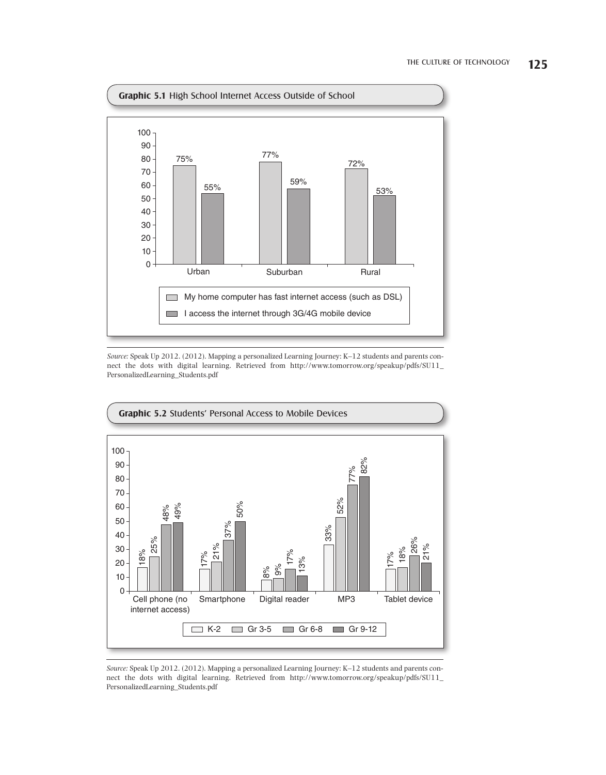

*Source:* Speak Up 2012. (2012). Mapping a personalized Learning Journey: K–12 students and parents connect the dots with digital learning. Retrieved from http://www.tomorrow.org/speakup/pdfs/SU11\_ PersonalizedLearning\_Students.pdf



*Source:* Speak Up 2012. (2012). Mapping a personalized Learning Journey: K–12 students and parents connect the dots with digital learning. Retrieved from http://www.tomorrow.org/speakup/pdfs/SU11\_ PersonalizedLearning\_Students.pdf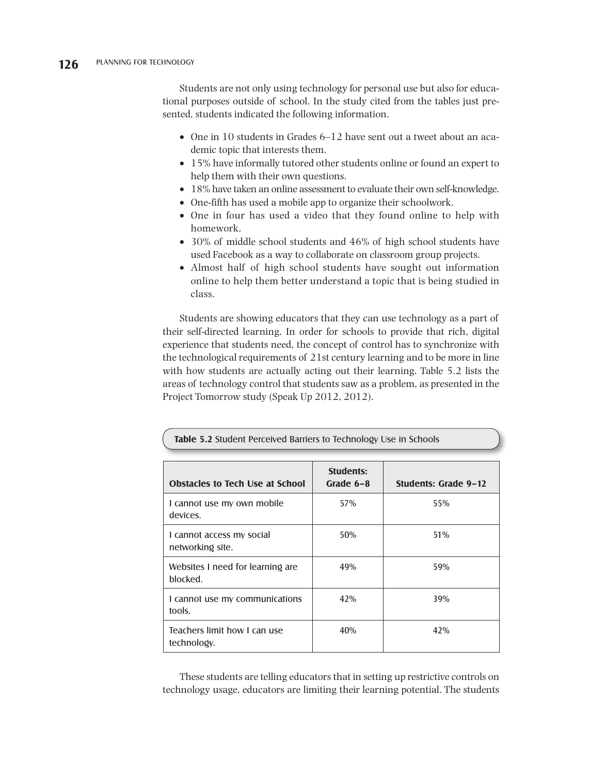Students are not only using technology for personal use but also for educational purposes outside of school. In the study cited from the tables just presented, students indicated the following information.

- One in 10 students in Grades 6–12 have sent out a tweet about an academic topic that interests them.
- 15% have informally tutored other students online or found an expert to help them with their own questions.
- 18% have taken an online assessment to evaluate their own self-knowledge.
- One-fifth has used a mobile app to organize their schoolwork.
- • One in four has used a video that they found online to help with homework.
- 30% of middle school students and 46% of high school students have used Facebook as a way to collaborate on classroom group projects.
- Almost half of high school students have sought out information online to help them better understand a topic that is being studied in class.

Students are showing educators that they can use technology as a part of their self-directed learning. In order for schools to provide that rich, digital experience that students need, the concept of control has to synchronize with the technological requirements of 21st century learning and to be more in line with how students are actually acting out their learning. Table 5.2 lists the areas of technology control that students saw as a problem, as presented in the Project Tomorrow study (Speak Up 2012, 2012).

| <b>Obstacles to Tech Use at School</b>        | <b>Students:</b><br>Grade $6-8$ | Students: Grade 9-12 |
|-----------------------------------------------|---------------------------------|----------------------|
| I cannot use my own mobile<br>devices.        | 57%                             | 55%                  |
| I cannot access my social<br>networking site. | 50%                             | 51%                  |
| Websites I need for learning are<br>blocked.  | 49%                             | 59%                  |
| I cannot use my communications<br>tools.      | 42%                             | 39%                  |
| Teachers limit how I can use<br>technology.   | 40%                             | 42%                  |

**Table 5.2** Student Perceived Barriers to Technology Use in Schools

These students are telling educators that in setting up restrictive controls on technology usage, educators are limiting their learning potential. The students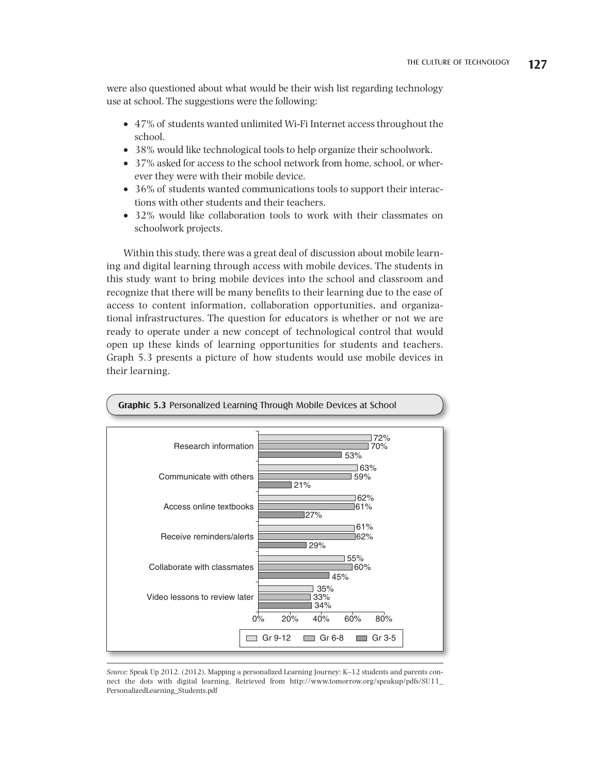were also questioned about what would be their wish list regarding technology use at school. The suggestions were the following:

- 47% of students wanted unlimited Wi-Fi Internet access throughout the school.
- 38% would like technological tools to help organize their schoolwork.
- 37% asked for access to the school network from home, school, or wherever they were with their mobile device.
- 36% of students wanted communications tools to support their interactions with other students and their teachers.
- • 32% would like collaboration tools to work with their classmates on schoolwork projects.

Within this study, there was a great deal of discussion about mobile learning and digital learning through access with mobile devices. The students in this study want to bring mobile devices into the school and classroom and recognize that there will be many benefits to their learning due to the ease of access to content information, collaboration opportunities, and organizational infrastructures. The question for educators is whether or not we are ready to operate under a new concept of technological control that would open up these kinds of learning opportunities for students and teachers. Graph 5.3 presents a picture of how students would use mobile devices in their learning.



*Source:* Speak Up 2012. (2012). Mapping a personalized Learning Journey: K–12 students and parents connect the dots with digital learning. Retrieved from http://www.tomorrow.org/speakup/pdfs/SU11\_ PersonalizedLearning\_Students.pdf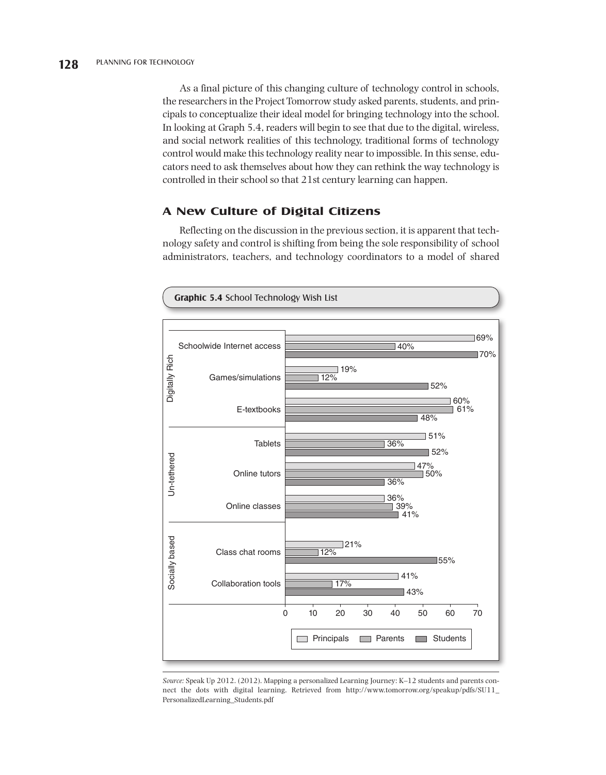As a final picture of this changing culture of technology control in schools, the researchers in the Project Tomorrow study asked parents, students, and principals to conceptualize their ideal model for bringing technology into the school. In looking at Graph 5.4, readers will begin to see that due to the digital, wireless, and social network realities of this technology, traditional forms of technology control would make this technology reality near to impossible. In this sense, educators need to ask themselves about how they can rethink the way technology is controlled in their school so that 21st century learning can happen.

#### **A New Culture of Digital Citizens**

Reflecting on the discussion in the previous section, it is apparent that technology safety and control is shifting from being the sole responsibility of school administrators, teachers, and technology coordinators to a model of shared



*Source:* Speak Up 2012. (2012). Mapping a personalized Learning Journey: K–12 students and parents connect the dots with digital learning. Retrieved from http://www.tomorrow.org/speakup/pdfs/SU11\_ PersonalizedLearning\_Students.pdf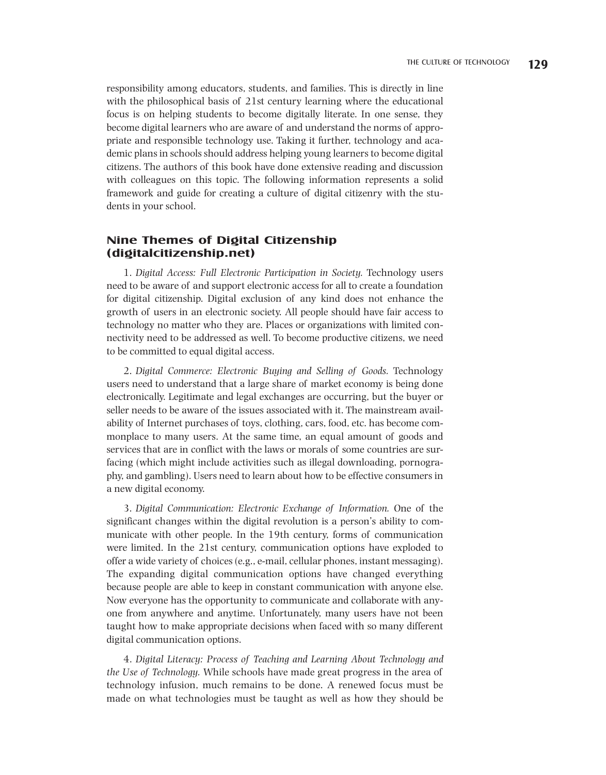responsibility among educators, students, and families. This is directly in line with the philosophical basis of 21st century learning where the educational focus is on helping students to become digitally literate. In one sense, they become digital learners who are aware of and understand the norms of appropriate and responsible technology use. Taking it further, technology and academic plans in schools should address helping young learners to become digital citizens. The authors of this book have done extensive reading and discussion with colleagues on this topic. The following information represents a solid framework and guide for creating a culture of digital citizenry with the students in your school.

#### **Nine Themes of Digital Citizenship (digitalcitizenship.net)**

1. *Digital Access: Full Electronic Participation in Society.* Technology users need to be aware of and support electronic access for all to create a foundation for digital citizenship. Digital exclusion of any kind does not enhance the growth of users in an electronic society. All people should have fair access to technology no matter who they are. Places or organizations with limited connectivity need to be addressed as well. To become productive citizens, we need to be committed to equal digital access.

2. *Digital Commerce: Electronic Buying and Selling of Goods.* Technology users need to understand that a large share of market economy is being done electronically. Legitimate and legal exchanges are occurring, but the buyer or seller needs to be aware of the issues associated with it. The mainstream availability of Internet purchases of toys, clothing, cars, food, etc. has become commonplace to many users. At the same time, an equal amount of goods and services that are in conflict with the laws or morals of some countries are surfacing (which might include activities such as illegal downloading, pornography, and gambling). Users need to learn about how to be effective consumers in a new digital economy.

3. *Digital Communication: Electronic Exchange of Information.* One of the significant changes within the digital revolution is a person's ability to communicate with other people. In the 19th century, forms of communication were limited. In the 21st century, communication options have exploded to offer a wide variety of choices (e.g., e-mail, cellular phones, instant messaging). The expanding digital communication options have changed everything because people are able to keep in constant communication with anyone else. Now everyone has the opportunity to communicate and collaborate with anyone from anywhere and anytime. Unfortunately, many users have not been taught how to make appropriate decisions when faced with so many different digital communication options.

4. *Digital Literacy: Process of Teaching and Learning About Technology and the Use of Technology.* While schools have made great progress in the area of technology infusion, much remains to be done. A renewed focus must be made on what technologies must be taught as well as how they should be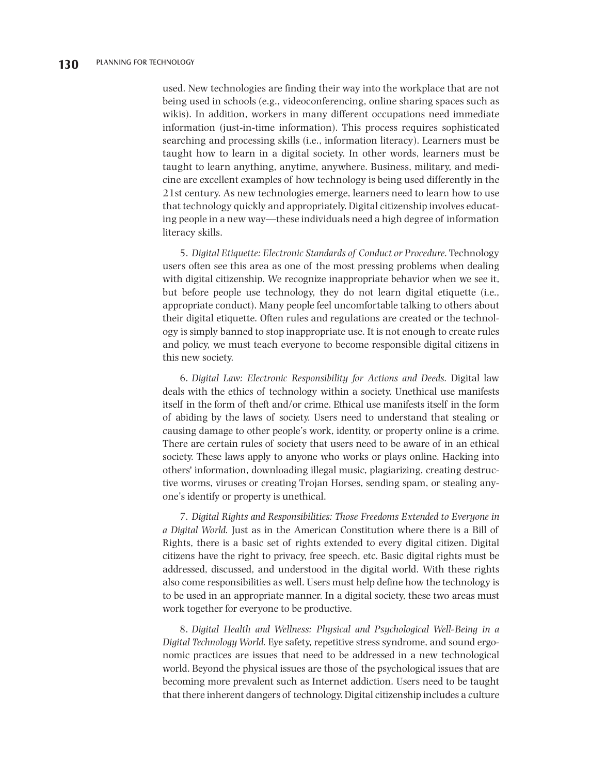used. New technologies are finding their way into the workplace that are not being used in schools (e.g., videoconferencing, online sharing spaces such as wikis). In addition, workers in many different occupations need immediate information (just-in-time information). This process requires sophisticated searching and processing skills (i.e., information literacy). Learners must be taught how to learn in a digital society. In other words, learners must be taught to learn anything, anytime, anywhere. Business, military, and medicine are excellent examples of how technology is being used differently in the 21st century. As new technologies emerge, learners need to learn how to use that technology quickly and appropriately. Digital citizenship involves educating people in a new way—these individuals need a high degree of information literacy skills.

5. *Digital Etiquette: Electronic Standards of Conduct or Procedure.* Technology users often see this area as one of the most pressing problems when dealing with digital citizenship. We recognize inappropriate behavior when we see it, but before people use technology, they do not learn digital etiquette (i.e., appropriate conduct). Many people feel uncomfortable talking to others about their digital etiquette. Often rules and regulations are created or the technology is simply banned to stop inappropriate use. It is not enough to create rules and policy, we must teach everyone to become responsible digital citizens in this new society.

6. *Digital Law: Electronic Responsibility for Actions and Deeds.* Digital law deals with the ethics of technology within a society. Unethical use manifests itself in the form of theft and/or crime. Ethical use manifests itself in the form of abiding by the laws of society. Users need to understand that stealing or causing damage to other people's work, identity, or property online is a crime. There are certain rules of society that users need to be aware of in an ethical society. These laws apply to anyone who works or plays online. Hacking into others' information, downloading illegal music, plagiarizing, creating destructive worms, viruses or creating Trojan Horses, sending spam, or stealing anyone's identify or property is unethical.

7. *Digital Rights and Responsibilities: Those Freedoms Extended to Everyone in a Digital World.* Just as in the American Constitution where there is a Bill of Rights, there is a basic set of rights extended to every digital citizen. Digital citizens have the right to privacy, free speech, etc. Basic digital rights must be addressed, discussed, and understood in the digital world. With these rights also come responsibilities as well. Users must help define how the technology is to be used in an appropriate manner. In a digital society, these two areas must work together for everyone to be productive.

8. *Digital Health and Wellness: Physical and Psychological Well-Being in a Digital Technology World.* Eye safety, repetitive stress syndrome, and sound ergonomic practices are issues that need to be addressed in a new technological world. Beyond the physical issues are those of the psychological issues that are becoming more prevalent such as Internet addiction. Users need to be taught that there inherent dangers of technology. Digital citizenship includes a culture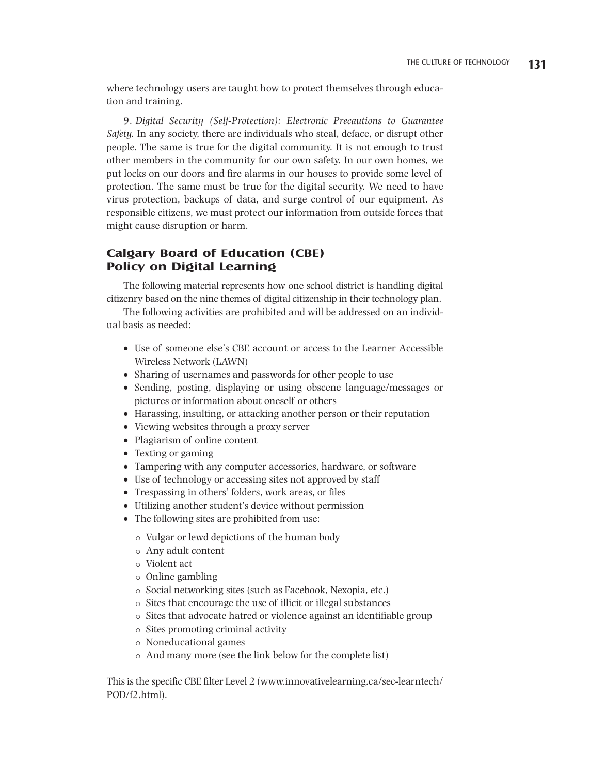where technology users are taught how to protect themselves through education and training.

9. *Digital Security (Self-Protection): Electronic Precautions to Guarantee Safety.* In any society, there are individuals who steal, deface, or disrupt other people. The same is true for the digital community. It is not enough to trust other members in the community for our own safety. In our own homes, we put locks on our doors and fire alarms in our houses to provide some level of protection. The same must be true for the digital security. We need to have virus protection, backups of data, and surge control of our equipment. As responsible citizens, we must protect our information from outside forces that might cause disruption or harm.

#### **Calgary Board of Education (CBE) Policy on Digital Learning**

The following material represents how one school district is handling digital citizenry based on the nine themes of digital citizenship in their technology plan.

The following activities are prohibited and will be addressed on an individual basis as needed:

- • Use of someone else's CBE account or access to the Learner Accessible Wireless Network (LAWN)
- Sharing of usernames and passwords for other people to use
- Sending, posting, displaying or using obscene language/messages or pictures or information about oneself or others
- Harassing, insulting, or attacking another person or their reputation
- Viewing websites through a proxy server
- Plagiarism of online content
- Texting or gaming
- Tampering with any computer accessories, hardware, or software
- Use of technology or accessing sites not approved by staff
- Trespassing in others' folders, work areas, or files
- Utilizing another student's device without permission
- The following sites are prohibited from use:
	- $\circ$  Vulgar or lewd depictions of the human body
	- $\circ$  Any adult content
	- $\circ$  Violent act
	- $\circ$  Online gambling
	- $\circ$  Social networking sites (such as Facebook, Nexopia, etc.)
	- $\circ$  Sites that encourage the use of illicit or illegal substances
	- $\circ$  Sites that advocate hatred or violence against an identifiable group
	- $\circ$  Sites promoting criminal activity
	- $\circ$  Noneducational games
	- $\circ$  And many more (see the link below for the complete list)

This is the specific CBE filter Level 2 (www.innovativelearning.ca/sec-learntech/ POD/f2.html).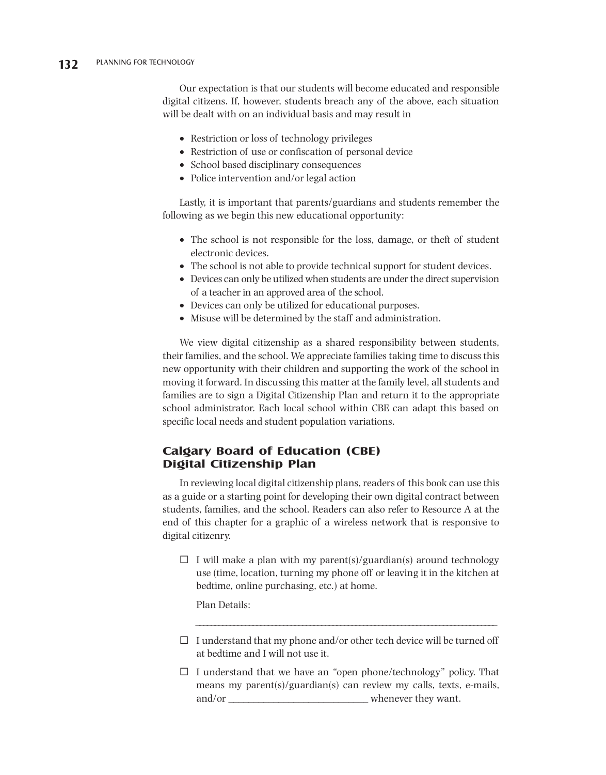#### 132 PLANNING FOR TECHNOLOGY

Our expectation is that our students will become educated and responsible digital citizens. If, however, students breach any of the above, each situation will be dealt with on an individual basis and may result in

- Restriction or loss of technology privileges
- Restriction of use or confiscation of personal device
- School based disciplinary consequences
- Police intervention and/or legal action

Lastly, it is important that parents/guardians and students remember the following as we begin this new educational opportunity:

- The school is not responsible for the loss, damage, or theft of student electronic devices.
- The school is not able to provide technical support for student devices.
- Devices can only be utilized when students are under the direct supervision of a teacher in an approved area of the school.
- Devices can only be utilized for educational purposes.
- Misuse will be determined by the staff and administration.

We view digital citizenship as a shared responsibility between students, their families, and the school. We appreciate families taking time to discuss this new opportunity with their children and supporting the work of the school in moving it forward. In discussing this matter at the family level, all students and families are to sign a Digital Citizenship Plan and return it to the appropriate school administrator. Each local school within CBE can adapt this based on specific local needs and student population variations.

#### **Calgary Board of Education (CBE) Digital Citizenship Plan**

In reviewing local digital citizenship plans, readers of this book can use this as a guide or a starting point for developing their own digital contract between students, families, and the school. Readers can also refer to Resource A at the end of this chapter for a graphic of a wireless network that is responsive to digital citizenry.

 $\Box$  I will make a plan with my parent(s)/guardian(s) around technology use (time, location, turning my phone off or leaving it in the kitchen at bedtime, online purchasing, etc.) at home.

Plan Details:

 $\Box$  I understand that my phone and/or other tech device will be turned off at bedtime and I will not use it.

\_\_\_\_\_\_\_\_\_\_\_\_\_\_\_\_\_\_\_\_\_\_\_\_\_\_\_\_\_\_\_\_\_\_\_\_\_\_\_\_\_\_\_\_\_\_\_\_\_\_\_\_\_\_\_\_\_\_\_\_\_\_\_\_\_\_\_\_\_\_\_\_\_\_\_\_\_\_\_

 $\Box$  I understand that we have an "open phone/technology" policy. That means my parent(s)/guardian(s) can review my calls, texts, e-mails, and/or \_\_\_\_\_\_\_\_\_\_\_\_\_\_\_\_\_\_\_\_\_\_\_\_\_\_\_\_ whenever they want.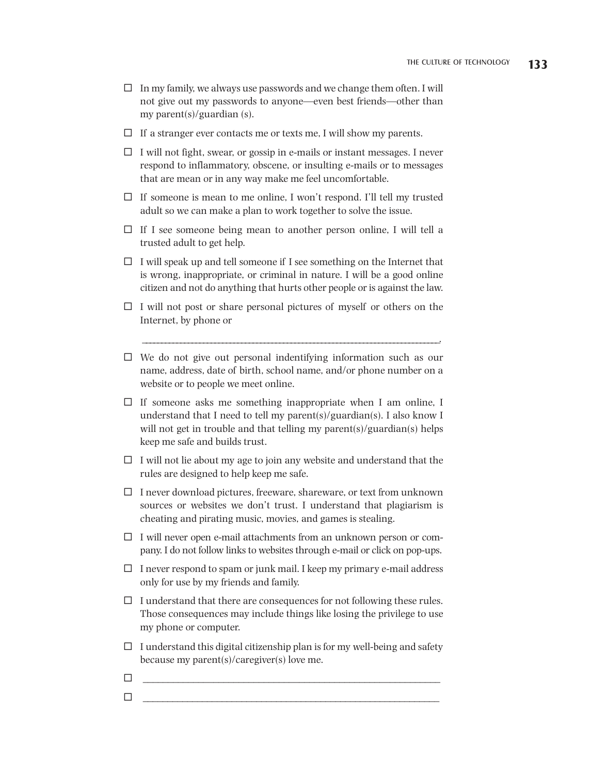- $\Box$  In my family, we always use passwords and we change them often. I will not give out my passwords to anyone—even best friends—other than my parent(s)/guardian (s).
- $\Box$  If a stranger ever contacts me or texts me, I will show my parents.
- $\Box$  I will not fight, swear, or gossip in e-mails or instant messages. I never respond to inflammatory, obscene, or insulting e-mails or to messages that are mean or in any way make me feel uncomfortable.
- $\Box$  If someone is mean to me online, I won't respond. I'll tell my trusted adult so we can make a plan to work together to solve the issue.
- $\Box$  If I see someone being mean to another person online, I will tell a trusted adult to get help.
- $\Box$  I will speak up and tell someone if I see something on the Internet that is wrong, inappropriate, or criminal in nature. I will be a good online citizen and not do anything that hurts other people or is against the law.
- $\Box$  I will not post or share personal pictures of myself or others on the Internet, by phone or

\_\_\_\_\_\_\_\_\_\_\_\_\_\_\_\_\_\_\_\_\_\_\_\_\_\_\_\_\_\_\_\_\_\_\_\_\_\_\_\_\_\_\_\_\_\_\_\_\_\_\_\_\_\_\_\_\_\_\_\_\_\_\_\_\_\_\_\_\_\_\_\_\_\_\_\_\_\_.

- $\square$  We do not give out personal indentifying information such as our name, address, date of birth, school name, and/or phone number on a website or to people we meet online.
- $\Box$  If someone asks me something inappropriate when I am online, I understand that I need to tell my parent(s)/guardian(s). I also know I will not get in trouble and that telling my parent(s)/guardian(s) helps keep me safe and builds trust.
- $\Box$  I will not lie about my age to join any website and understand that the rules are designed to help keep me safe.
- $\Box$  I never download pictures, freeware, shareware, or text from unknown sources or websites we don't trust. I understand that plagiarism is cheating and pirating music, movies, and games is stealing.
- $\Box$  I will never open e-mail attachments from an unknown person or company. I do not follow links to websites through e-mail or click on pop-ups.
- $\Box$  I never respond to spam or junk mail. I keep my primary e-mail address only for use by my friends and family.
- $\Box$  I understand that there are consequences for not following these rules. Those consequences may include things like losing the privilege to use my phone or computer.
- $\Box$  I understand this digital citizenship plan is for my well-being and safety because my parent(s)/caregiver(s) love me.
- $\Box$ \_\_\_\_\_\_\_\_\_\_\_\_\_\_\_\_\_\_\_\_\_\_\_\_\_\_\_\_\_\_\_\_\_\_\_\_\_\_\_\_\_\_\_\_\_\_\_\_\_\_\_\_\_\_\_\_\_\_\_
- $\Box$  , and the set of the set of the set of the set of the set of the set of the set of the set of the set of the set of the set of the set of the set of the set of the set of the set of the set of the set of the set of t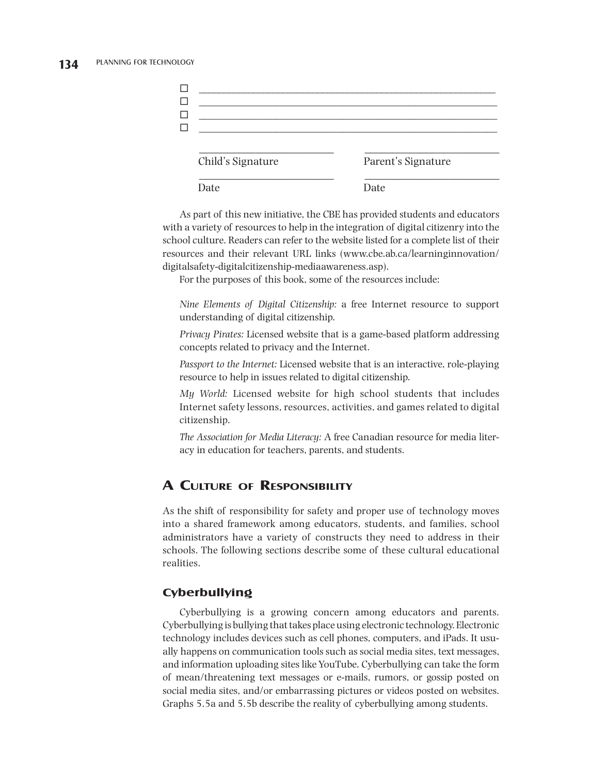| Child's Signature | Parent's Signature |
|-------------------|--------------------|
| Date              | Date               |

As part of this new initiative, the CBE has provided students and educators with a variety of resources to help in the integration of digital citizenry into the school culture. Readers can refer to the website listed for a complete list of their resources and their relevant URL links (www.cbe.ab.ca/learninginnovation/ digitalsafety-digitalcitizenship-mediaawareness.asp).

For the purposes of this book, some of the resources include:

*Nine Elements of Digital Citizenship:* a free Internet resource to support understanding of digital citizenship.

*Privacy Pirates:* Licensed website that is a game-based platform addressing concepts related to privacy and the Internet.

*Passport to the Internet:* Licensed website that is an interactive, role-playing resource to help in issues related to digital citizenship.

*My World:* Licensed website for high school students that includes Internet safety lessons, resources, activities, and games related to digital citizenship.

*The Association for Media Literacy:* A free Canadian resource for media literacy in education for teachers, parents, and students.

#### **A Culture of Responsibility**

As the shift of responsibility for safety and proper use of technology moves into a shared framework among educators, students, and families, school administrators have a variety of constructs they need to address in their schools. The following sections describe some of these cultural educational realities.

#### **Cyberbullying**

Cyberbullying is a growing concern among educators and parents. Cyberbullying is bullying that takes place using electronic technology. Electronic technology includes devices such as cell phones, computers, and iPads. It usually happens on communication tools such as social media sites, text messages, and information uploading sites like YouTube. Cyberbullying can take the form of mean/threatening text messages or e-mails, rumors, or gossip posted on social media sites, and/or embarrassing pictures or videos posted on websites. Graphs 5.5a and 5.5b describe the reality of cyberbullying among students.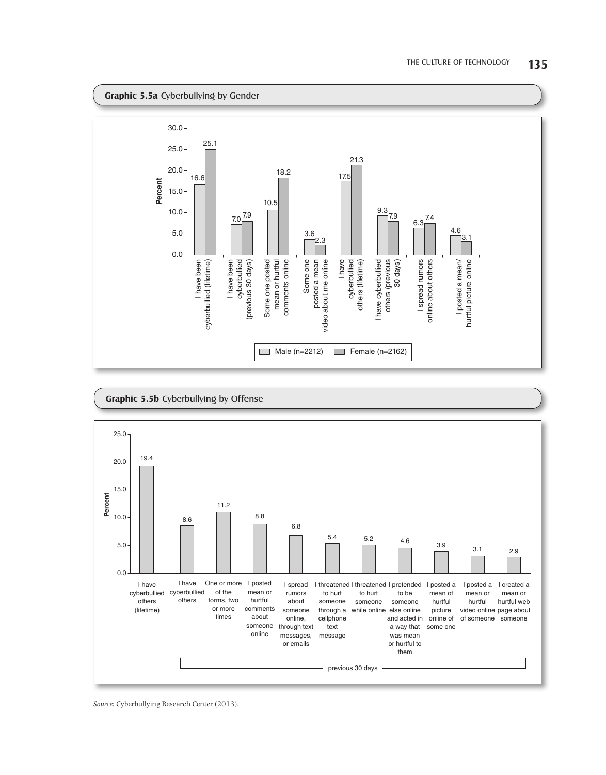



*Source:* Cyberbullying Research Center (2013).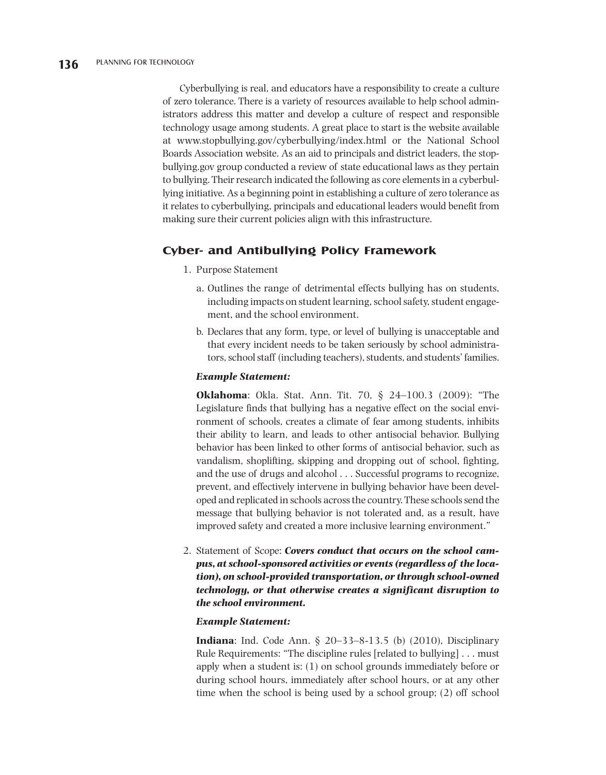Cyberbullying is real, and educators have a responsibility to create a culture of zero tolerance. There is a variety of resources available to help school administrators address this matter and develop a culture of respect and responsible technology usage among students. A great place to start is the website available at www.stopbullying.gov/cyberbullying/index.html or the National School Boards Association website. As an aid to principals and district leaders, the stopbullying.gov group conducted a review of state educational laws as they pertain to bullying. Their research indicated the following as core elements in a cyberbullying initiative. As a beginning point in establishing a culture of zero tolerance as it relates to cyberbullying, principals and educational leaders would benefit from making sure their current policies align with this infrastructure.

#### **Cyber- and Antibullying Policy Framework**

- 1. Purpose Statement
	- a. Outlines the range of detrimental effects bullying has on students, including impacts on student learning, school safety, student engagement, and the school environment.
	- b. Declares that any form, type, or level of bullying is unacceptable and that every incident needs to be taken seriously by school administrators, school staff (including teachers), students, and students' families.

#### *Example Statement:*

**Oklahoma**: Okla. Stat. Ann. Tit. 70, § 24–100.3 (2009): "The Legislature finds that bullying has a negative effect on the social environment of schools, creates a climate of fear among students, inhibits their ability to learn, and leads to other antisocial behavior. Bullying behavior has been linked to other forms of antisocial behavior, such as vandalism, shoplifting, skipping and dropping out of school, fighting, and the use of drugs and alcohol . . . Successful programs to recognize, prevent, and effectively intervene in bullying behavior have been developed and replicated in schools across the country. These schools send the message that bullying behavior is not tolerated and, as a result, have improved safety and created a more inclusive learning environment."

2. Statement of Scope: *Covers conduct that occurs on the school campus, at school-sponsored activities or events (regardless of the location), on school-provided transportation, or through school-owned technology, or that otherwise creates a significant disruption to the school environment.*

#### *Example Statement:*

**Indiana**: Ind. Code Ann. § 20–33–8-13.5 (b) (2010), Disciplinary Rule Requirements: "The discipline rules [related to bullying] . . . must apply when a student is: (1) on school grounds immediately before or during school hours, immediately after school hours, or at any other time when the school is being used by a school group; (2) off school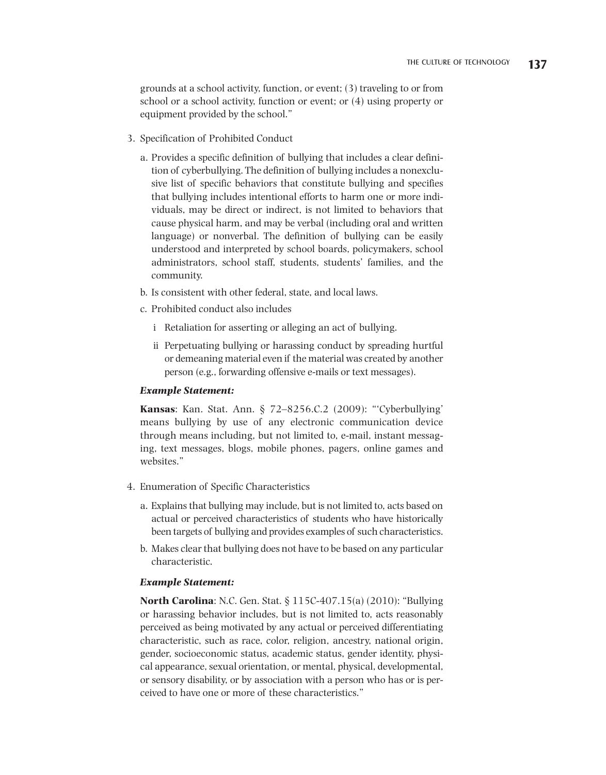grounds at a school activity, function, or event; (3) traveling to or from school or a school activity, function or event; or (4) using property or equipment provided by the school."

- 3. Specification of Prohibited Conduct
	- a. Provides a specific definition of bullying that includes a clear definition of cyberbullying. The definition of bullying includes a nonexclusive list of specific behaviors that constitute bullying and specifies that bullying includes intentional efforts to harm one or more individuals, may be direct or indirect, is not limited to behaviors that cause physical harm, and may be verbal (including oral and written language) or nonverbal. The definition of bullying can be easily understood and interpreted by school boards, policymakers, school administrators, school staff, students, students' families, and the community.
	- b. Is consistent with other federal, state, and local laws.
	- c. Prohibited conduct also includes
		- i Retaliation for asserting or alleging an act of bullying.
		- ii Perpetuating bullying or harassing conduct by spreading hurtful or demeaning material even if the material was created by another person (e.g., forwarding offensive e-mails or text messages).

#### *Example Statement:*

**Kansas**: Kan. Stat. Ann. § 72–8256.C.2 (2009): "'Cyberbullying' means bullying by use of any electronic communication device through means including, but not limited to, e-mail, instant messaging, text messages, blogs, mobile phones, pagers, online games and websites."

- 4. Enumeration of Specific Characteristics
	- a. Explains that bullying may include, but is not limited to, acts based on actual or perceived characteristics of students who have historically been targets of bullying and provides examples of such characteristics.
	- b. Makes clear that bullying does not have to be based on any particular characteristic.

#### *Example Statement:*

**North Carolina**: N.C. Gen. Stat. § 115C-407.15(a) (2010): "Bullying or harassing behavior includes, but is not limited to, acts reasonably perceived as being motivated by any actual or perceived differentiating characteristic, such as race, color, religion, ancestry, national origin, gender, socioeconomic status, academic status, gender identity, physical appearance, sexual orientation, or mental, physical, developmental, or sensory disability, or by association with a person who has or is perceived to have one or more of these characteristics."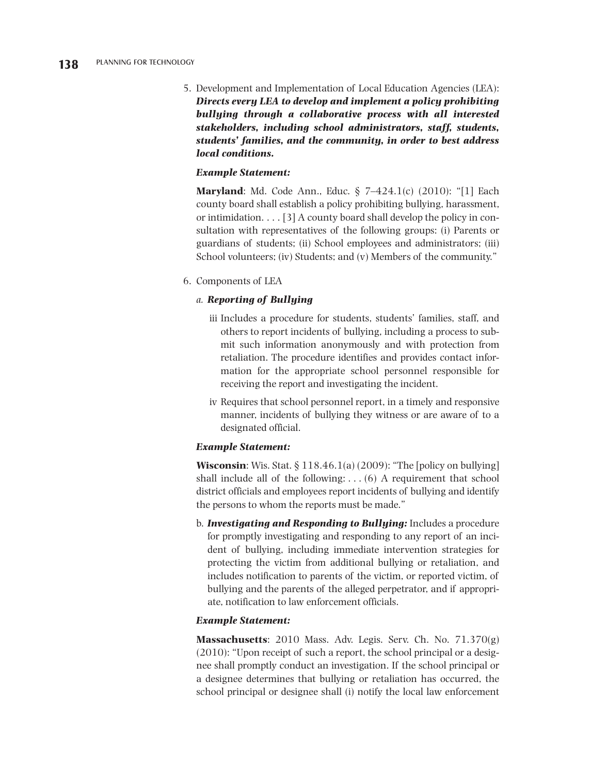5. Development and Implementation of Local Education Agencies (LEA): *Directs every LEA to develop and implement a policy prohibiting bullying through a collaborative process with all interested stakeholders, including school administrators, staff, students, students' families, and the community, in order to best address local conditions.*

#### *Example Statement:*

**Maryland**: Md. Code Ann., Educ. § 7–424.1(c) (2010): "[1] Each county board shall establish a policy prohibiting bullying, harassment, or intimidation. . . . [3] A county board shall develop the policy in consultation with representatives of the following groups: (i) Parents or guardians of students; (ii) School employees and administrators; (iii) School volunteers; (iv) Students; and (v) Members of the community."

6. Components of LEA

#### *a. Reporting of Bullying*

- iii Includes a procedure for students, students' families, staff, and others to report incidents of bullying, including a process to submit such information anonymously and with protection from retaliation. The procedure identifies and provides contact information for the appropriate school personnel responsible for receiving the report and investigating the incident.
- iv Requires that school personnel report, in a timely and responsive manner, incidents of bullying they witness or are aware of to a designated official.

#### *Example Statement:*

**Wisconsin**: Wis. Stat. § 118.46.1(a) (2009): "The [policy on bullying] shall include all of the following: . . . (6) A requirement that school district officials and employees report incidents of bullying and identify the persons to whom the reports must be made."

b. *Investigating and Responding to Bullying:* Includes a procedure for promptly investigating and responding to any report of an incident of bullying, including immediate intervention strategies for protecting the victim from additional bullying or retaliation, and includes notification to parents of the victim, or reported victim, of bullying and the parents of the alleged perpetrator, and if appropriate, notification to law enforcement officials.

#### *Example Statement:*

**Massachusetts**: 2010 Mass. Adv. Legis. Serv. Ch. No. 71.370(g) (2010): "Upon receipt of such a report, the school principal or a designee shall promptly conduct an investigation. If the school principal or a designee determines that bullying or retaliation has occurred, the school principal or designee shall (i) notify the local law enforcement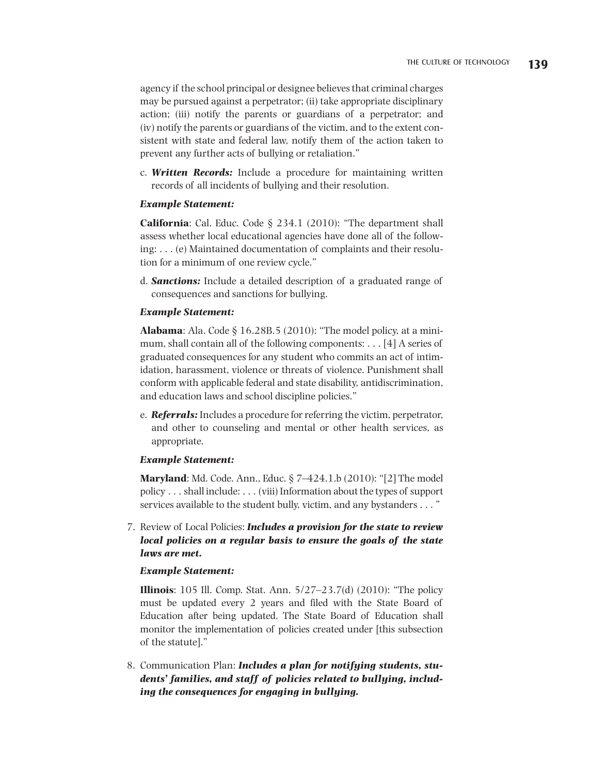agency if the school principal or designee believes that criminal charges may be pursued against a perpetrator; (ii) take appropriate disciplinary action; (iii) notify the parents or guardians of a perpetrator; and (iv) notify the parents or guardians of the victim, and to the extent consistent with state and federal law, notify them of the action taken to prevent any further acts of bullying or retaliation."

c. *Written Records:* Include a procedure for maintaining written records of all incidents of bullying and their resolution.

#### *Example Statement:*

**California**: Cal. Educ. Code § 234.1 (2010): "The department shall assess whether local educational agencies have done all of the following: . . . (e) Maintained documentation of complaints and their resolution for a minimum of one review cycle."

d. *Sanctions:* Include a detailed description of a graduated range of consequences and sanctions for bullying.

#### *Example Statement:*

**Alabama**: Ala. Code § 16.28B.5 (2010): "The model policy, at a minimum, shall contain all of the following components: . . . [4] A series of graduated consequences for any student who commits an act of intimidation, harassment, violence or threats of violence. Punishment shall conform with applicable federal and state disability, antidiscrimination, and education laws and school discipline policies."

e. *Referrals:* Includes a procedure for referring the victim, perpetrator, and other to counseling and mental or other health services, as appropriate.

#### *Example Statement:*

**Maryland**: Md. Code. Ann., Educ. § 7–424.1.b (2010): "[2] The model policy . . . shall include: . . . (viii) Information about the types of support services available to the student bully, victim, and any bystanders . . . "

7. Review of Local Policies: *Includes a provision for the state to review local policies on a regular basis to ensure the goals of the state laws are met.*

#### *Example Statement:*

**Illinois**: 105 Ill. Comp. Stat. Ann. 5/27–23.7(d) (2010): "The policy must be updated every 2 years and filed with the State Board of Education after being updated. The State Board of Education shall monitor the implementation of policies created under [this subsection of the statute]."

8. Communication Plan: *Includes a plan for notifying students, students' families, and staff of policies related to bullying, including the consequences for engaging in bullying.*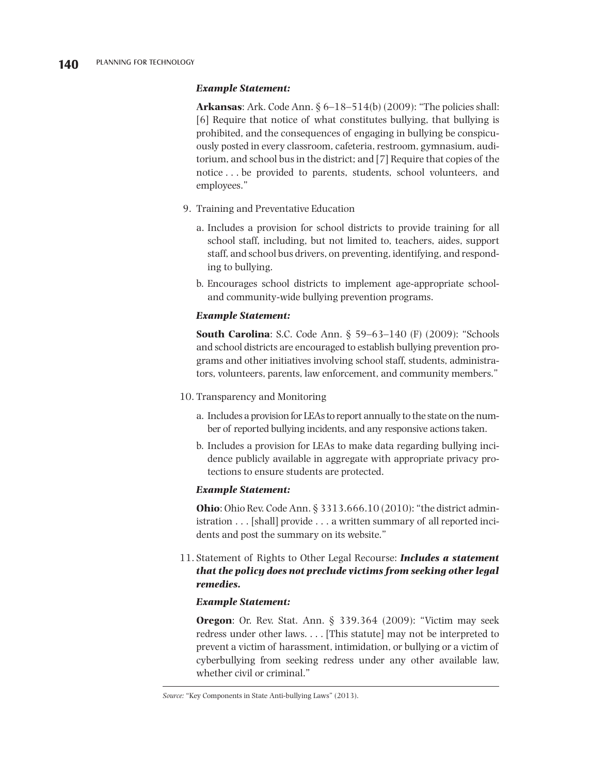#### *Example Statement:*

**Arkansas**: Ark. Code Ann. § 6–18–514(b) (2009): "The policies shall: [6] Require that notice of what constitutes bullying, that bullying is prohibited, and the consequences of engaging in bullying be conspicuously posted in every classroom, cafeteria, restroom, gymnasium, auditorium, and school bus in the district; and [7] Require that copies of the notice . . . be provided to parents, students, school volunteers, and employees."

- 9. Training and Preventative Education
	- a. Includes a provision for school districts to provide training for all school staff, including, but not limited to, teachers, aides, support staff, and school bus drivers, on preventing, identifying, and responding to bullying.
	- b. Encourages school districts to implement age-appropriate schooland community-wide bullying prevention programs.

#### *Example Statement:*

**South Carolina**: S.C. Code Ann. § 59–63–140 (F) (2009): "Schools and school districts are encouraged to establish bullying prevention programs and other initiatives involving school staff, students, administrators, volunteers, parents, law enforcement, and community members."

- 10. Transparency and Monitoring
	- a. Includes a provision for LEAs to report annually to the state on the number of reported bullying incidents, and any responsive actions taken.
	- b. Includes a provision for LEAs to make data regarding bullying incidence publicly available in aggregate with appropriate privacy protections to ensure students are protected.

#### *Example Statement:*

**Ohio**: Ohio Rev. Code Ann. § 3313.666.10 (2010): "the district administration . . . [shall] provide . . . a written summary of all reported incidents and post the summary on its website."

#### 11. Statement of Rights to Other Legal Recourse: *Includes a statement that the policy does not preclude victims from seeking other legal remedies.*

#### *Example Statement:*

**Oregon**: Or. Rev. Stat. Ann. § 339.364 (2009): "Victim may seek redress under other laws. . . . [This statute] may not be interpreted to prevent a victim of harassment, intimidation, or bullying or a victim of cyberbullying from seeking redress under any other available law, whether civil or criminal."

*Source:* "Key Components in State Anti-bullying Laws" (2013).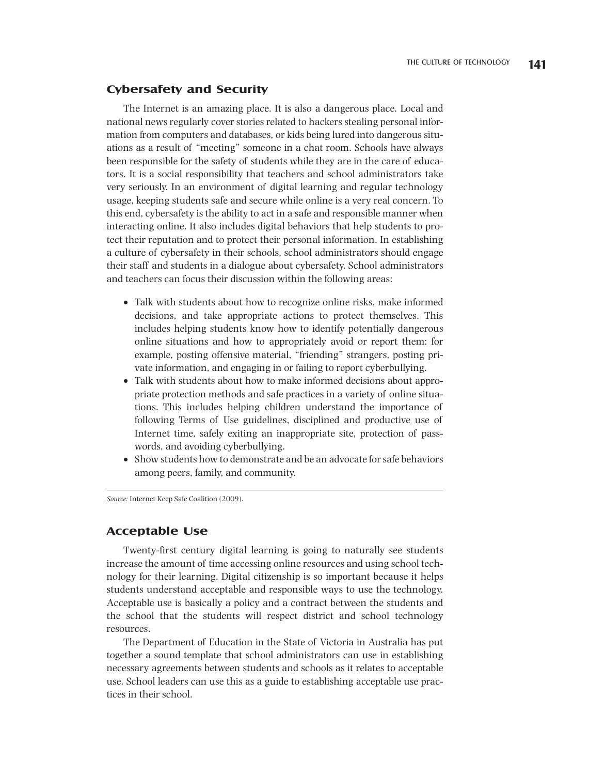#### **Cybersafety and Security**

The Internet is an amazing place. It is also a dangerous place. Local and national news regularly cover stories related to hackers stealing personal information from computers and databases, or kids being lured into dangerous situations as a result of "meeting" someone in a chat room. Schools have always been responsible for the safety of students while they are in the care of educators. It is a social responsibility that teachers and school administrators take very seriously. In an environment of digital learning and regular technology usage, keeping students safe and secure while online is a very real concern. To this end, cybersafety is the ability to act in a safe and responsible manner when interacting online. It also includes digital behaviors that help students to protect their reputation and to protect their personal information. In establishing a culture of cybersafety in their schools, school administrators should engage their staff and students in a dialogue about cybersafety. School administrators and teachers can focus their discussion within the following areas:

- Talk with students about how to recognize online risks, make informed decisions, and take appropriate actions to protect themselves. This includes helping students know how to identify potentially dangerous online situations and how to appropriately avoid or report them: for example, posting offensive material, "friending" strangers, posting private information, and engaging in or failing to report cyberbullying.
- Talk with students about how to make informed decisions about appropriate protection methods and safe practices in a variety of online situations. This includes helping children understand the importance of following Terms of Use guidelines, disciplined and productive use of Internet time, safely exiting an inappropriate site, protection of passwords, and avoiding cyberbullying.
- Show students how to demonstrate and be an advocate for safe behaviors among peers, family, and community.

*Source:* Internet Keep Safe Coalition (2009).

#### **Acceptable Use**

Twenty-first century digital learning is going to naturally see students increase the amount of time accessing online resources and using school technology for their learning. Digital citizenship is so important because it helps students understand acceptable and responsible ways to use the technology. Acceptable use is basically a policy and a contract between the students and the school that the students will respect district and school technology resources.

The Department of Education in the State of Victoria in Australia has put together a sound template that school administrators can use in establishing necessary agreements between students and schools as it relates to acceptable use. School leaders can use this as a guide to establishing acceptable use practices in their school.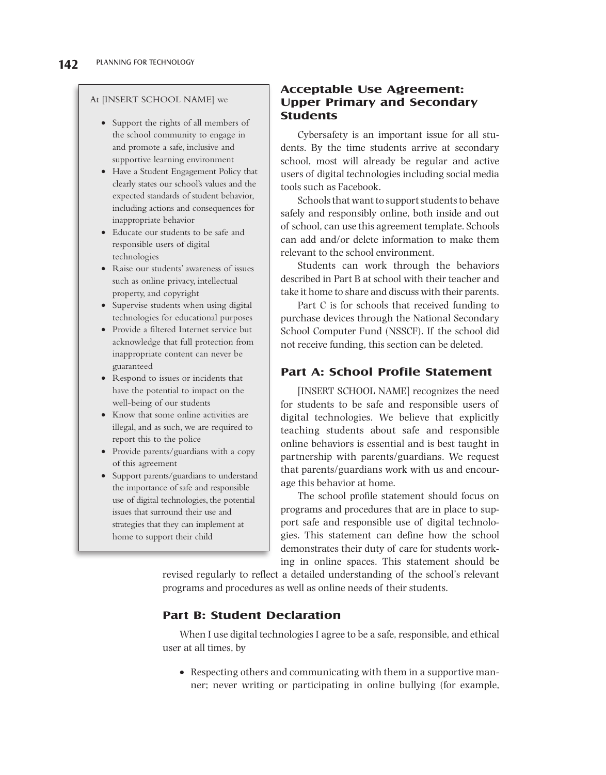#### At [INSERT SCHOOL NAME] we

- Support the rights of all members of the school community to engage in and promote a safe, inclusive and supportive learning environment
- Have a Student Engagement Policy that clearly states our school's values and the expected standards of student behavior, including actions and consequences for inappropriate behavior
- Educate our students to be safe and responsible users of digital technologies
- Raise our students' awareness of issues such as online privacy, intellectual property, and copyright
- Supervise students when using digital technologies for educational purposes
- Provide a filtered Internet service but acknowledge that full protection from inappropriate content can never be guaranteed
- Respond to issues or incidents that have the potential to impact on the well-being of our students
- Know that some online activities are illegal, and as such, we are required to report this to the police
- Provide parents/guardians with a copy of this agreement
- Support parents/guardians to understand the importance of safe and responsible use of digital technologies, the potential issues that surround their use and strategies that they can implement at home to support their child

#### **Acceptable Use Agreement: Upper Primary and Secondary Students**

Cybersafety is an important issue for all students. By the time students arrive at secondary school, most will already be regular and active users of digital technologies including social media tools such as Facebook.

Schools that want to support students to behave safely and responsibly online, both inside and out of school, can use this agreement template. Schools can add and/or delete information to make them relevant to the school environment.

Students can work through the behaviors described in Part B at school with their teacher and take it home to share and discuss with their parents.

Part C is for schools that received funding to purchase devices through the National Secondary School Computer Fund (NSSCF). If the school did not receive funding, this section can be deleted.

#### **Part A: School Profile Statement**

[INSERT SCHOOL NAME] recognizes the need for students to be safe and responsible users of digital technologies. We believe that explicitly teaching students about safe and responsible online behaviors is essential and is best taught in partnership with parents/guardians. We request that parents/guardians work with us and encourage this behavior at home.

The school profile statement should focus on programs and procedures that are in place to support safe and responsible use of digital technologies. This statement can define how the school demonstrates their duty of care for students working in online spaces. This statement should be

revised regularly to reflect a detailed understanding of the school's relevant programs and procedures as well as online needs of their students.

#### **Part B: Student Declaration**

When I use digital technologies I agree to be a safe, responsible, and ethical user at all times, by

• Respecting others and communicating with them in a supportive manner; never writing or participating in online bullying (for example,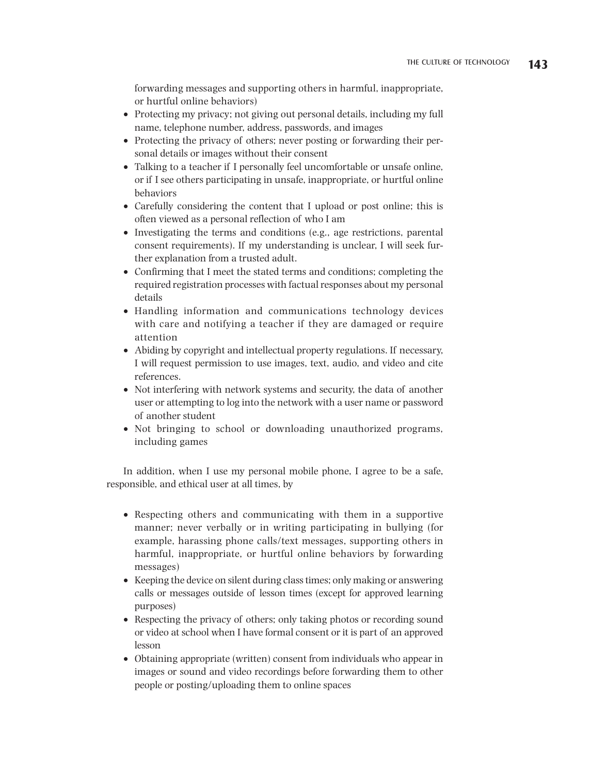forwarding messages and supporting others in harmful, inappropriate, or hurtful online behaviors)

- Protecting my privacy; not giving out personal details, including my full name, telephone number, address, passwords, and images
- Protecting the privacy of others; never posting or forwarding their personal details or images without their consent
- Talking to a teacher if I personally feel uncomfortable or unsafe online, or if I see others participating in unsafe, inappropriate, or hurtful online behaviors
- Carefully considering the content that I upload or post online; this is often viewed as a personal reflection of who I am
- Investigating the terms and conditions (e.g., age restrictions, parental consent requirements). If my understanding is unclear, I will seek further explanation from a trusted adult.
- Confirming that I meet the stated terms and conditions; completing the required registration processes with factual responses about my personal details
- Handling information and communications technology devices with care and notifying a teacher if they are damaged or require attention
- Abiding by copyright and intellectual property regulations. If necessary, I will request permission to use images, text, audio, and video and cite references.
- Not interfering with network systems and security, the data of another user or attempting to log into the network with a user name or password of another student
- Not bringing to school or downloading unauthorized programs, including games

In addition, when I use my personal mobile phone, I agree to be a safe, responsible, and ethical user at all times, by

- • Respecting others and communicating with them in a supportive manner; never verbally or in writing participating in bullying (for example, harassing phone calls/text messages, supporting others in harmful, inappropriate, or hurtful online behaviors by forwarding messages)
- Keeping the device on silent during class times; only making or answering calls or messages outside of lesson times (except for approved learning purposes)
- Respecting the privacy of others; only taking photos or recording sound or video at school when I have formal consent or it is part of an approved lesson
- Obtaining appropriate (written) consent from individuals who appear in images or sound and video recordings before forwarding them to other people or posting/uploading them to online spaces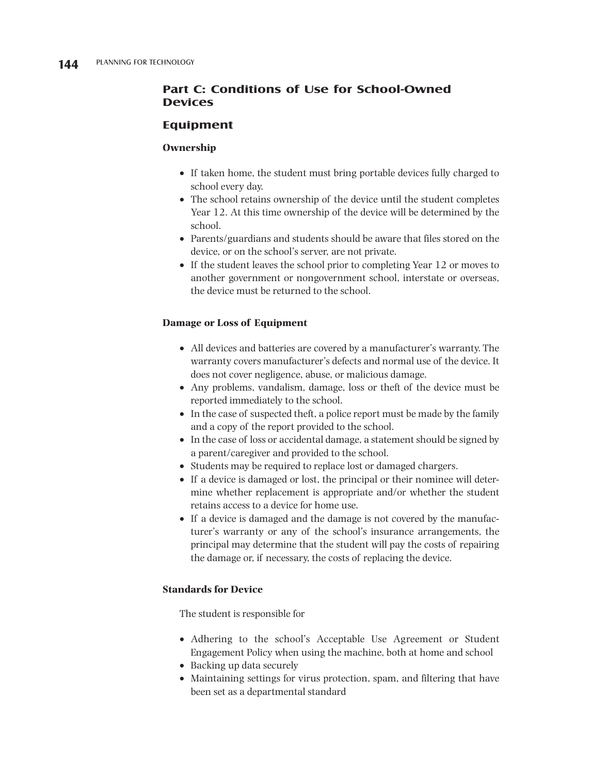#### **Part C: Conditions of Use for School-Owned Devices**

#### **Equipment**

#### **Ownership**

- If taken home, the student must bring portable devices fully charged to school every day.
- The school retains ownership of the device until the student completes Year 12. At this time ownership of the device will be determined by the school.
- Parents/guardians and students should be aware that files stored on the device, or on the school's server, are not private.
- If the student leaves the school prior to completing Year 12 or moves to another government or nongovernment school, interstate or overseas, the device must be returned to the school.

#### **Damage or Loss of Equipment**

- All devices and batteries are covered by a manufacturer's warranty. The warranty covers manufacturer's defects and normal use of the device. It does not cover negligence, abuse, or malicious damage.
- Any problems, vandalism, damage, loss or theft of the device must be reported immediately to the school.
- In the case of suspected theft, a police report must be made by the family and a copy of the report provided to the school.
- In the case of loss or accidental damage, a statement should be signed by a parent/caregiver and provided to the school.
- Students may be required to replace lost or damaged chargers.
- If a device is damaged or lost, the principal or their nominee will determine whether replacement is appropriate and/or whether the student retains access to a device for home use.
- If a device is damaged and the damage is not covered by the manufacturer's warranty or any of the school's insurance arrangements, the principal may determine that the student will pay the costs of repairing the damage or, if necessary, the costs of replacing the device.

#### **Standards for Device**

The student is responsible for

- Adhering to the school's Acceptable Use Agreement or Student Engagement Policy when using the machine, both at home and school
- Backing up data securely
- Maintaining settings for virus protection, spam, and filtering that have been set as a departmental standard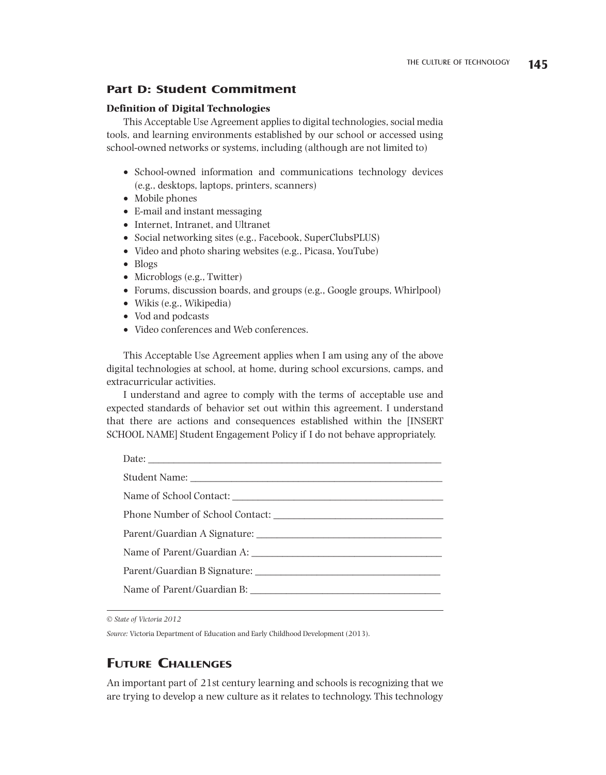#### **Part D: Student Commitment**

#### **Definition of Digital Technologies**

This Acceptable Use Agreement applies to digital technologies, social media tools, and learning environments established by our school or accessed using school-owned networks or systems, including (although are not limited to)

- • School-owned information and communications technology devices (e.g., desktops, laptops, printers, scanners)
- Mobile phones
- E-mail and instant messaging
- Internet, Intranet, and Ultranet
- Social networking sites (e.g., Facebook, SuperClubsPLUS)
- Video and photo sharing websites (e.g., Picasa, YouTube)
- Blogs
- Microblogs (e.g., Twitter)
- Forums, discussion boards, and groups (e.g., Google groups, Whirlpool)
- Wikis (e.g., Wikipedia)
- Vod and podcasts
- Video conferences and Web conferences.

This Acceptable Use Agreement applies when I am using any of the above digital technologies at school, at home, during school excursions, camps, and extracurricular activities.

I understand and agree to comply with the terms of acceptable use and expected standards of behavior set out within this agreement. I understand that there are actions and consequences established within the [INSERT SCHOOL NAME] Student Engagement Policy if I do not behave appropriately.

| Name of School Contact: |
|-------------------------|
|                         |
|                         |
|                         |
|                         |
|                         |
|                         |

 *State of Victoria 2012*

*Source:* Victoria Department of Education and Early Childhood Development (2013).

#### **Future Challenges**

An important part of 21st century learning and schools is recognizing that we are trying to develop a new culture as it relates to technology. This technology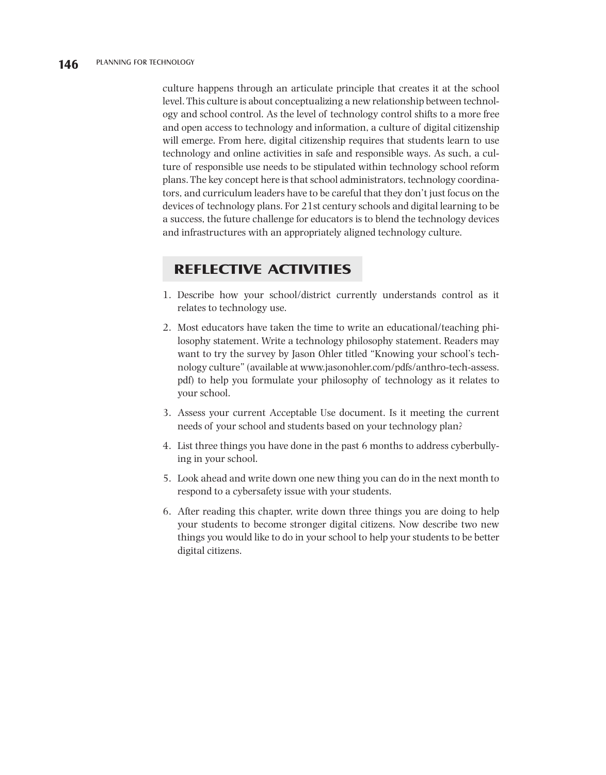culture happens through an articulate principle that creates it at the school level. This culture is about conceptualizing a new relationship between technology and school control. As the level of technology control shifts to a more free and open access to technology and information, a culture of digital citizenship will emerge. From here, digital citizenship requires that students learn to use technology and online activities in safe and responsible ways. As such, a culture of responsible use needs to be stipulated within technology school reform plans. The key concept here is that school administrators, technology coordinators, and curriculum leaders have to be careful that they don't just focus on the devices of technology plans. For 21st century schools and digital learning to be a success, the future challenge for educators is to blend the technology devices and infrastructures with an appropriately aligned technology culture.

#### **REFLECTIVE ACTIVITIES**

- 1. Describe how your school/district currently understands control as it relates to technology use.
- 2. Most educators have taken the time to write an educational/teaching philosophy statement. Write a technology philosophy statement. Readers may want to try the survey by Jason Ohler titled "Knowing your school's technology culture" (available at www.jasonohler.com/pdfs/anthro-tech-assess. pdf) to help you formulate your philosophy of technology as it relates to your school.
- 3. Assess your current Acceptable Use document. Is it meeting the current needs of your school and students based on your technology plan?
- 4. List three things you have done in the past 6 months to address cyberbullying in your school.
- 5. Look ahead and write down one new thing you can do in the next month to respond to a cybersafety issue with your students.
- 6. After reading this chapter, write down three things you are doing to help your students to become stronger digital citizens. Now describe two new things you would like to do in your school to help your students to be better digital citizens.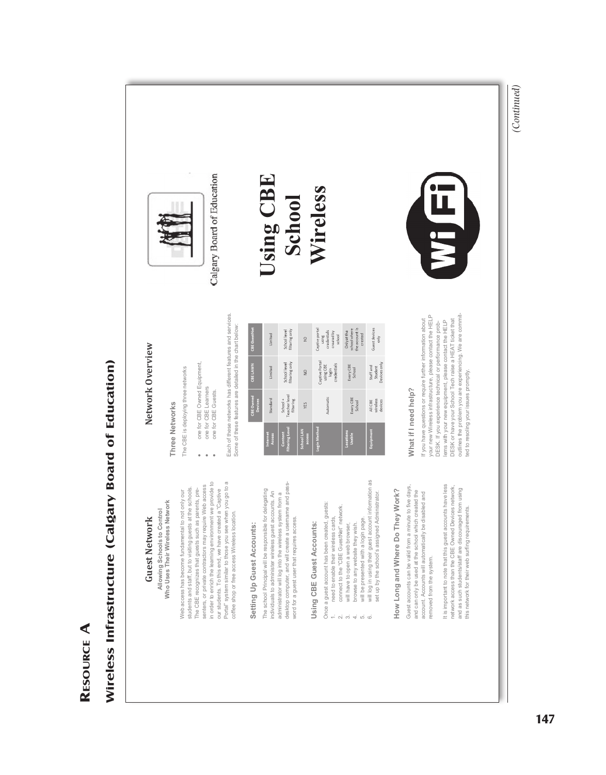### RESOURCE A **Resource A**

# Wireless Infrastructure (Calgary Board of Education) **Wireless Infrastructure (Calgary Board of Education)**

### **Guest Network Guest Network**

**Who Uses Their Wireless Network**  Allowing Schools to Control<br>Who Uses Their Wireless Network **Allowing Schools to Control** 

in order to enrich the learning environment we provide to Portal" system similar to those you see when you go to a<br>coffee shop or free access Wireless location. Portal" system similar to those you see when you go to a in order to enrich the learning environment we provide to senters, or private contractors may require Web access Web access has become fundamental to not only our<br>students and staff, but to visiting guests at the schools.<br>The CBE recognizes that guests such as parents, presenters, or private contractors may require Web access students and staff, but to visiting guests at the schools. our students. To this end, we have created a "Captive The CBE recognizes that guests such as parents, preour students. To this end, we have created a "Captive Web access has become fundamental to not only our coffee shop or free access Wireless location.

# Setting Up Guest Accounts: **Setting Up Guest Accounts:**

administrator will log into the wireless system from a<br>desktop computer, and will create a usemame and pass-<br>word for a guest user that requires access. desktop computer, and will create a username and pass-The school Principal will be responsible for delegating The school Principal will be responsible for delegating individuals to administer wireless guest accounts. An individuals to administer wireless guest accounts. An administrator will log into the wireless system from a word for a guest user that requires access.

# Using CBE Guest Accounts: **Using CBE Guest Accounts:**

- Once a guest account has been created, guests: Once a guest account has been created, guests: need to enable their wireless cards, 1. need to enable their wireless cards,
	- connect to the "CBE GuestNet" network. 2. connect to the "CBE GuestNet" network. 3. will have to open a web browser,
		- will have to open a web browser,<br>browse to any website they wish. 4. browse to any website they wish.  $\overline{4}$
- 5. will be presented with a login page. will be presented with a login page.
- will log in using their guest account information as 6. will log in using their guest account information as set up by the school's assigned Administrator. set up by the school's assigned Administrator.  $\begin{array}{cc} 0.6 & \frac{1}{2} \end{array}$

# How Long and Where Do They Work? **How Long and Where Do They Work?**

Guest accounts can be valid from a minute to five days,<br>and can only be used at the school which created the<br>account. Accounts will automatically be disabled and Guest accounts can be valid from a minute to five days, and can only be used at the school which created the account. Accounts will automatically be disabled and removed from the system. removed from the system.

It is important to note that this guest accounts have less<br>network access than the CBE Owned Devices network,<br>and as such students/staff are discouraged from using It is important to note that this guest accounts have less network access than the CBE Owned Devices network, and as such students/staff are discouraged from using this network for their web surfing requirements. this network for their web surfing requirements.

### Network Overview **Network Overview**

Three Networks **Three Networks** 

The CBE is deploying three networks The CBE is deploying three networks

- one for CBE Owned Equipment, • one for CBE Owned Equipment,
	- one for CBE Learners<br>one for CBE Guests. • one for CBE Learners • one for CBE Guests.

Each of these networks has different features and services. Each of these networks has different features and services. Some of these features are detailed in the chart below: Some of these features are detailed in the chart below:

| <b>CBE GuestNet</b>                | Limited            | filtering only<br>School level           | $\frac{1}{2}$        | Captive portal<br>credentials<br>created by<br>school<br>using | the account is<br>school where<br>Only at the<br>created | Guest devices<br>only                |
|------------------------------------|--------------------|------------------------------------------|----------------------|----------------------------------------------------------------|----------------------------------------------------------|--------------------------------------|
| CBE LAWN                           | Limited            | filtering only<br>School level           | $\frac{1}{2}$        | Captive Portal<br>credentials<br>using CBE<br>login            | Every CBE<br>School                                      | Devices only<br>Staff and<br>Student |
| <b>CBE Owned</b><br><b>Devices</b> | Standard           | Teacher level<br>filtering<br>$School +$ | YES                  | Automatic                                                      | Every CBE<br>School                                      | wireless<br>devices<br>All CBE       |
|                                    | Internet<br>Access | <b>Filtering Level</b><br>Content        | School LAN<br>access | Login Method                                                   | Locations<br>Usable                                      | Equipment                            |

### **What if I need help?**  What if I need help?

your new Wireless infrastructure, please contact the HELP lems with your new equipment, please contact the HELP<br>DESK or have your School Tech raise a HEAT ticket that<br>outlines the problem you are experiencing. We are commitoutlines the problem you are experiencing. We are commityour new Wireless infrastructure, please contact the HELP If you have questions or require further information about If you have questions or require further information about DESK or have your School Tech raise a HEAT ticket that DESK. If you experience technical or performance prob-DESK. If you experience technical or performance problems with your new equipment, please contact the HELP ted to resoling your issues promptly. ted to resoling your issues promptly.



#### **Using CBE**  Using CBE **Wireless**  Wireless **School**